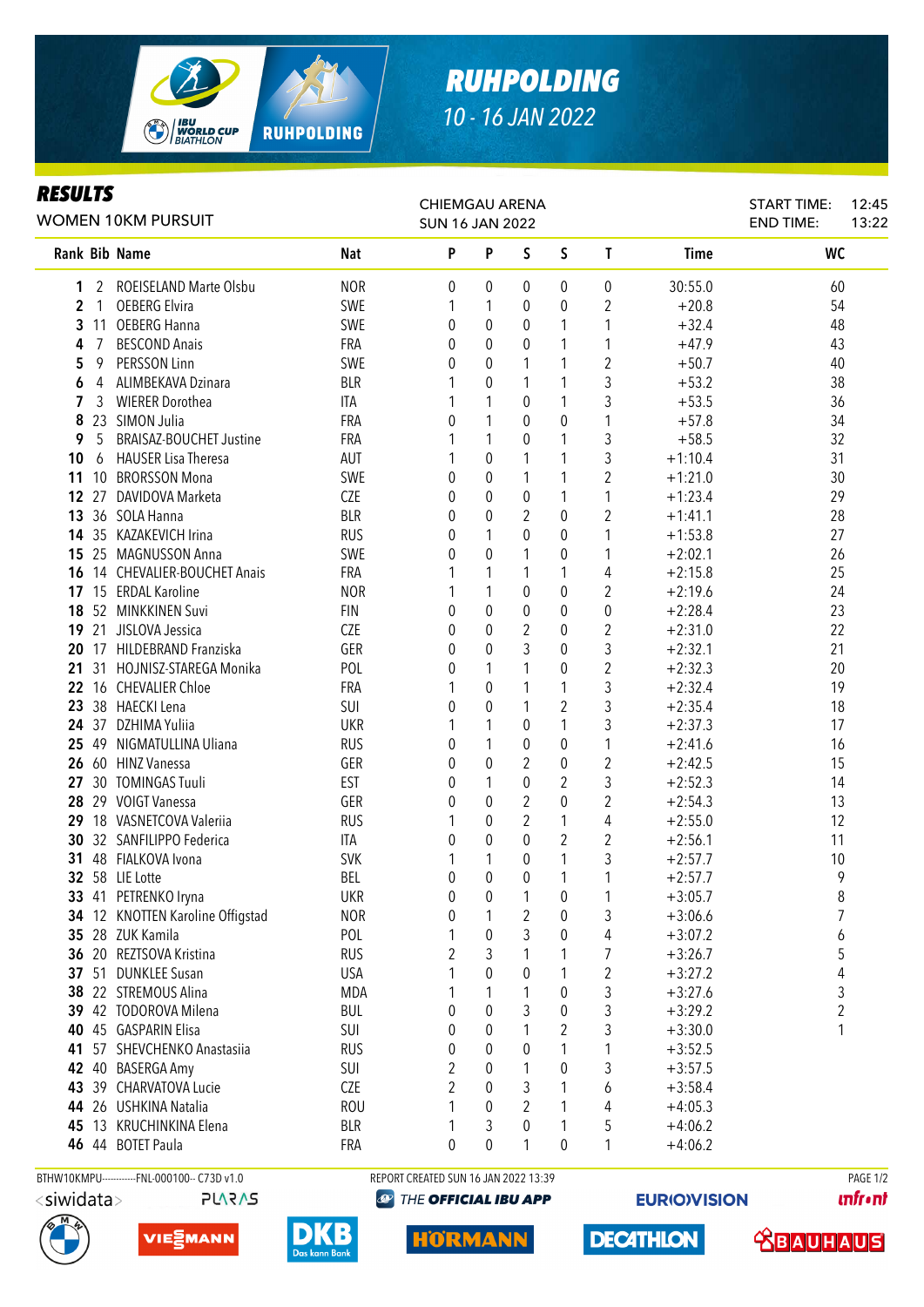

## *RUHPOLDING 10 - 16 JAN 2022*

## *RESULTS*

| rejulij<br><b>WOMEN 10KM PURSUIT</b> |                |                                         |                   | <b>CHIEMGAU ARENA</b><br><b>SUN 16 JAN 2022</b> |                  |                     |                     |                         |                        | <b>START TIME:</b><br><b>END TIME:</b> | 12:45<br>13:22 |
|--------------------------------------|----------------|-----------------------------------------|-------------------|-------------------------------------------------|------------------|---------------------|---------------------|-------------------------|------------------------|----------------------------------------|----------------|
|                                      |                | Rank Bib Name                           | <b>Nat</b>        | P                                               | P                | $\mathsf S$         | $\mathsf S$         | $\mathsf{T}$            | Time                   | <b>WC</b>                              |                |
| 1                                    |                | 2 ROEISELAND Marte Olsbu                | <b>NOR</b>        | 0                                               | 0                | $\theta$            | $\overline{0}$      | 0                       | 30:55.0                | 60                                     |                |
| $\overline{2}$                       | $\overline{1}$ | <b>OEBERG Elvira</b>                    | SWE               | 1                                               | 1                | $\theta$            | 0                   | 2                       | $+20.8$                | 54                                     |                |
| 3                                    | 11             | <b>OEBERG Hanna</b>                     | SWE               | 0                                               | $\boldsymbol{0}$ | 0                   | 1                   | 1                       | $+32.4$                | 48                                     |                |
| 4                                    | 7              | <b>BESCOND Anais</b>                    | FRA               | 0                                               | 0                | $\theta$            | 1                   | 1                       | $+47.9$                | 43                                     |                |
| 5                                    | 9              | PERSSON Linn                            | SWE               | 0                                               | 0                | 1                   | 1                   | $\overline{2}$          | $+50.7$                | 40                                     |                |
| 6                                    | 4              | ALIMBEKAVA Dzinara                      | <b>BLR</b>        |                                                 | 0                | 1                   | 1                   | 3                       | $+53.2$                | 38                                     |                |
| 7                                    | 3              | <b>WIERER Dorothea</b>                  | ITA               |                                                 | 1                | 0                   | 1                   | 3                       | $+53.5$                | 36                                     |                |
| 8                                    |                | 23 SIMON Julia                          | FRA               | 0                                               | 1                | $\theta$            | 0                   | 1                       | $+57.8$                | 34                                     |                |
| 9                                    | 5              | <b>BRAISAZ-BOUCHET Justine</b>          | FRA               |                                                 | 1                | 0                   | 1                   | 3                       | $+58.5$                | 32                                     |                |
| 10                                   | 6              | <b>HAUSER Lisa Theresa</b>              | AUT               |                                                 | $\theta$         | 1                   | 1                   | 3                       | $+1:10.4$              | 31                                     |                |
| 11                                   | 10             | <b>BRORSSON Mona</b>                    | SWE               | 0                                               | 0                | 1                   | 1                   | 2                       | $+1:21.0$              | 30                                     |                |
|                                      | 12 27          | DAVIDOVA Marketa                        | <b>CZE</b>        | 0                                               | $\theta$         | $\theta$            | 1                   | 1                       | $+1:23.4$              | 29                                     |                |
|                                      |                | 13 36 SOLA Hanna                        | <b>BLR</b>        | 0                                               | $\theta$         | 2                   | 0                   | $\overline{2}$          | $+1:41.1$              | 28                                     |                |
|                                      |                | 14 35 KAZAKEVICH Irina                  | <b>RUS</b>        | 0                                               | 1                | $\theta$            | 0                   | 1                       | $+1:53.8$              | 27                                     |                |
|                                      |                | 15 25 MAGNUSSON Anna                    | SWE               | 0                                               | 0                | 1                   | 0                   | 1                       | $+2:02.1$              | 26                                     |                |
|                                      |                | 16 14 CHEVALIER-BOUCHET Anais           | FRA               |                                                 | 1                | 1                   | 1                   | 4                       | $+2:15.8$              | 25                                     |                |
|                                      |                | 17 15 ERDAL Karoline                    | <b>NOR</b>        |                                                 | 1                | $\theta$            | $\bf{0}$            | 2                       | $+2:19.6$              | 24                                     |                |
|                                      |                | 18 52 MINKKINEN Suvi                    | <b>FIN</b>        | 0                                               | 0                | $\theta$            | $\mathbf{0}$        | 0                       | $+2:28.4$              | 23                                     |                |
|                                      |                | 19 21 JISLOVA Jessica                   | <b>CZE</b>        | 0                                               | 0                | 2                   | $\mathbf{0}$        | 2                       | $+2:31.0$              | 22                                     |                |
| 20                                   |                | 17 HILDEBRAND Franziska                 | GER               | 0                                               | $\theta$         | 3                   | $\mathbf 0$         | 3                       | $+2:32.1$              | 21                                     |                |
| 21                                   |                | 31 HOJNISZ-STAREGA Monika               | POL               | 0                                               | 1                | 1                   | 0                   | $\overline{2}$          | $+2:32.3$              | 20                                     |                |
|                                      |                | 22 16 CHEVALIER Chloe                   | <b>FRA</b>        | 1                                               | 0                | 1                   | 1                   | 3                       | $+2:32.4$              | 19                                     |                |
| 23                                   |                | 38 HAECKI Lena                          | SUI               | 0                                               | 0                | 1                   | $\overline{2}$      | 3                       | $+2:35.4$              | 18                                     |                |
|                                      |                | 24 37 DZHIMA Yuliia                     | <b>UKR</b>        | 1                                               | 1                | $\theta$            | 1                   | 3                       | $+2:37.3$              | 17                                     |                |
| 25                                   |                | 49 NIGMATULLINA Uliana                  | <b>RUS</b>        | 0                                               | 1                | 0                   | 0                   | 1                       | $+2:41.6$              | 16                                     |                |
|                                      |                | 26 60 HINZ Vanessa<br>30 TOMINGAS Tuuli | GER<br><b>EST</b> | 0                                               | $\boldsymbol{0}$ | 2                   | 0<br>$\overline{2}$ | $\overline{2}$<br>3     | $+2:42.5$              | 15<br>14                               |                |
| 27<br>28                             |                | 29 VOIGT Vanessa                        | GER               | 0<br>0                                          | 1<br>0           | 0<br>$\overline{2}$ | 0                   | $\overline{2}$          | $+2:52.3$              | 13                                     |                |
|                                      |                | 29 18 VASNETCOVA Valeriia               | <b>RUS</b>        |                                                 | 0                | 2                   | 1                   | 4                       | $+2:54.3$<br>$+2:55.0$ | 12                                     |                |
| 30                                   |                | 32 SANFILIPPO Federica                  | ITA               | 0                                               | 0                | $\theta$            | $\mathbf{2}$        | $\overline{2}$          | $+2:56.1$              | 11                                     |                |
| 31                                   |                | 48 FIALKOVA Ivona                       | <b>SVK</b>        | 1                                               | 1                | $\theta$            | 1                   | 3                       | $+2:57.7$              | 10                                     |                |
|                                      |                | 32 58 LIE Lotte                         | <b>BEL</b>        | 0                                               | $\theta$         | $\theta$            | 1                   | 1                       | $+2:57.7$              | 9                                      |                |
|                                      |                | 33 41 PETRENKO Iryna                    | <b>UKR</b>        | 0                                               | 0                |                     | 0                   |                         | $+3:05.7$              | 8                                      |                |
|                                      |                | 34 12 KNOTTEN Karoline Offigstad        | <b>NOR</b>        | 0                                               | 1                | 2                   | 0                   | 3                       | $+3:06.6$              | 7                                      |                |
|                                      |                | 35 28 ZUK Kamila                        | POL               | 1                                               | $\theta$         | 3                   | 0                   | 4                       | $+3:07.2$              | 6                                      |                |
|                                      |                | 36 20 REZTSOVA Kristina                 | <b>RUS</b>        | 2                                               | 3                | 1                   | 1                   | 7                       | $+3:26.7$              | 5                                      |                |
|                                      |                | 37 51 DUNKLEE Susan                     | <b>USA</b>        |                                                 | $\theta$         | $\theta$            | 1                   | $\overline{\mathbf{c}}$ | $+3:27.2$              | 4                                      |                |
|                                      |                | 38 22 STREMOUS Alina                    | <b>MDA</b>        |                                                 |                  |                     | 0                   | 3                       | $+3:27.6$              | 3                                      |                |
|                                      |                | 39 42 TODOROVA Milena                   | <b>BUL</b>        | 0                                               | 0                | 3                   | 0                   | 3                       | $+3:29.2$              | 2                                      |                |
| 40                                   |                | 45 GASPARIN Elisa                       | SUI               | 0                                               | 0                |                     | $\overline{2}$      | 3                       | $+3:30.0$              | 1                                      |                |
| 41                                   |                | 57 SHEVCHENKO Anastasiia                | <b>RUS</b>        | 0                                               | 0                | 0                   | 1                   | 1                       | $+3:52.5$              |                                        |                |
|                                      |                | 42 40 BASERGA Amy                       | SUI               | 2                                               | 0                | 1                   | 0                   | 3                       | $+3:57.5$              |                                        |                |
| 43                                   |                | 39 CHARVATOVA Lucie                     | CZE               | 2                                               | 0                | 3                   | 1                   | 6                       | $+3:58.4$              |                                        |                |
| 44                                   |                | 26 USHKINA Natalia                      | <b>ROU</b>        | 1                                               | 0                | 2                   | 1                   | 4                       | $+4:05.3$              |                                        |                |
| 45                                   |                | 13 KRUCHINKINA Elena                    | <b>BLR</b>        | 1                                               | 3                | 0                   | 1                   | 5                       | $+4:06.2$              |                                        |                |
|                                      |                | 46 44 BOTET Paula                       | FRA               | 0                                               | $\theta$         | 1                   | $\boldsymbol{0}$    | 1                       | $+4:06.2$              |                                        |                |
|                                      |                |                                         |                   |                                                 |                  |                     |                     |                         |                        |                                        |                |

**PLARAS** 

BTHW10KMPU-----------FNL-000100-- C73D v1.0 REPORT CREATED SUN 16 JAN 2022 13:39 PAGE 1/2 <sup><sup>2</sup> THE OFFICIAL IBU APP</sup>

**EURIO)VISION** 

**unfront**